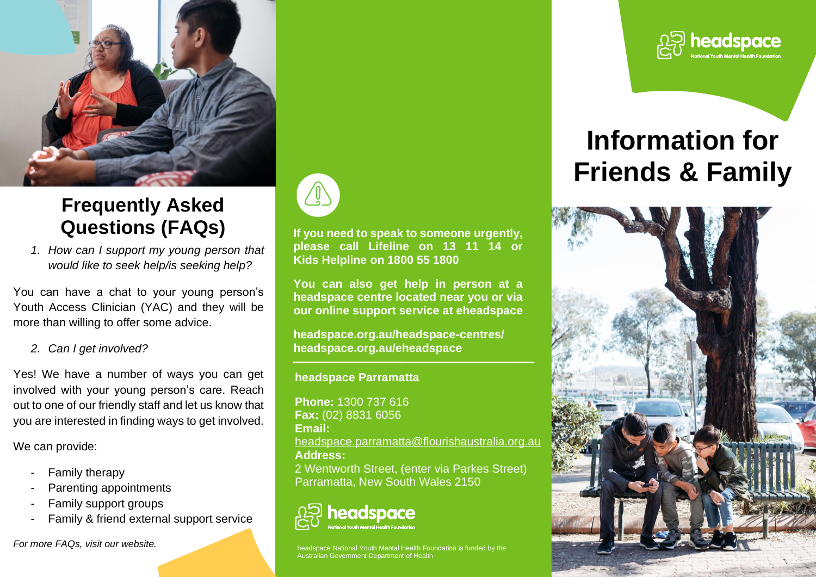

## **Frequently Asked Questions (FAQs)**

*1. How can I support my young person that would like to seek help/is seeking help?*

You can have a chat to your young person's Youth Access Clinician (YAC) and they will be more than willing to offer some advice.

*2. Can I get involved?* 

Yes! We have a number of ways you can get involved with your young person's care. Reach out to one of our friendly staff and let us know that you are interested in finding ways to get involved.

We can provide:

- Family therapy
- Parenting appointments
- Family support groups
- Family & friend external support service

*For more FAQs, visit our website.*



**If you need to speak to someone urgently, please call Lifeline on 13 11 14 or Kids Helpline on 1800 55 1800**

**You can also get help in person at a headspace centre located near you or via our online support service at eheadspace**

**headspace.org.au/headspace-centres/ headspace.org.au/eheadspace** 

**headspace Parramatta**

**Phone:** 1300 737 616 **Fax:** (02) 8831 6056 **Email:** [headspace.parramatta@flourishaustralia.org.au](mailto:headspace.parramatta@flourishaustralia.org.au) **Address:** 2 Wentworth Street, (enter via Parkes Street) Parramatta, New South Wales 2150

## **neadspace**

space National Youth Mental Health Foundation is funded by the Australian Government Department of Health



# **Information for Friends & Family**